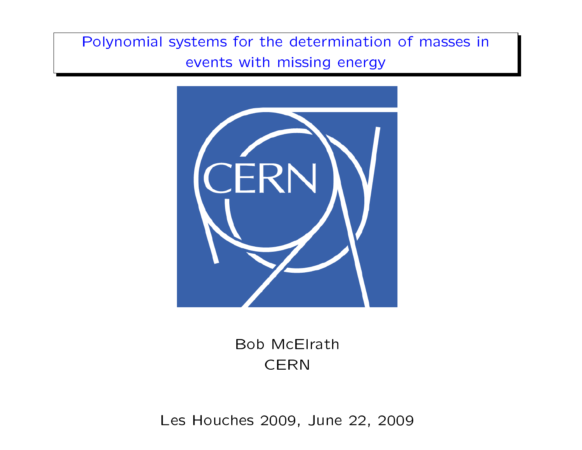## <span id="page-0-0"></span>Polynomial systems for the determination of masses in events with missing energy



Bob McElrath **CERN** 

Les Houches 2009, June 22, 2009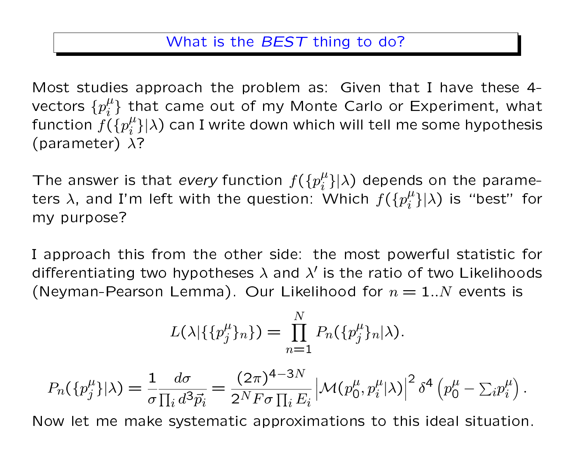Most studies approach the problem as: Given that I have these 4 vectors  $\{p_i^\mu\}$  $\binom{\mu}{i}$  that came out of my Monte Carlo or Experiment, what function  $f(\lbrace p_i^{\mu} \rbrace)$  $\binom{\mu}{i}|\lambda)$  can I write down which will tell me some hypothesis (parameter)  $\lambda$ ?

The answer is that every function  $f(\lbrace p_i^{\mu} \rbrace)$  $\binom{\mu}{i}|\lambda)$  depends on the parameters  $\lambda$ , and I'm left with the question: Which  $f(\{p_i^\mu\})$  $\binom{\mu}{i}|\lambda)$  is "best" for my purpose?

I approach this from the other side: the most powerful statistic for differentiating two hypotheses  $\lambda$  and  $\lambda'$  is the ratio of two Likelihoods (Neyman-Pearson Lemma). Our Likelihood for  $n = 1..N$  events is

$$
L(\lambda | \{ \{ p_j^{\mu} \}_n \}) = \prod_{n=1}^{N} P_n(\{ p_j^{\mu} \}_n | \lambda).
$$

$$
P_n(\{p_j^{\mu}\}\vert \lambda) = \frac{1}{\sigma} \frac{d\sigma}{\prod_i d^3 \vec{p}_i} = \frac{(2\pi)^{4-3N}}{2^N F \sigma \prod_i E_i} \left| \mathcal{M}(p_0^{\mu}, p_i^{\mu} \vert \lambda) \right|^2 \delta^4 \left( p_0^{\mu} - \sum_i p_i^{\mu} \right).
$$

Now let me make systematic approximations to this ideal situation.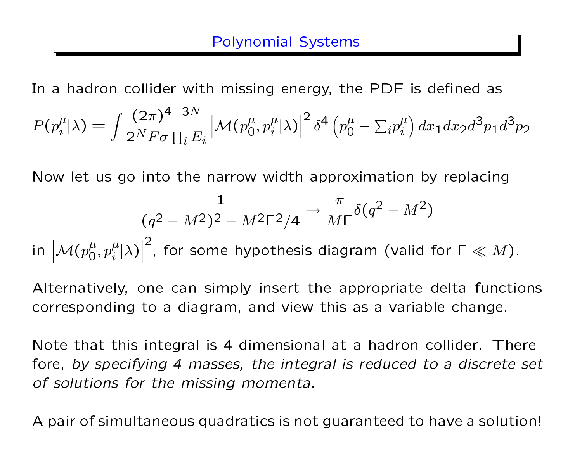In a hadron collider with missing energy, the PDF is defined as

$$
P(p_i^{\mu}|\lambda) = \int \frac{(2\pi)^{4-3N}}{2^N F \sigma \prod_i E_i} \left| \mathcal{M}(p_0^{\mu}, p_i^{\mu}|\lambda) \right|^2 \delta^4 \left( p_0^{\mu} - \sum_i p_i^{\mu} \right) dx_1 dx_2 d^3 p_1 d^3 p_2
$$

Now let us go into the narrow width approximation by replacing

$$
\frac{1}{(q^2 - M^2)^2 - M^2 \Gamma^2 / 4} \to \frac{\pi}{M \Gamma} \delta(q^2 - M^2)
$$

in  $\vert$  $\big| \mathcal{M}(p_0^\mu$  $\frac{\mu}{0}, p_i^{\mu}$  $\frac{\mu}{i}|\lambda)\Big|$  $\Big\}$  $\vert$ 2 , for some hypothesis diagram (valid for  $\Gamma \ll M$ ).

Alternatively, one can simply insert the appropriate delta functions corresponding to a diagram, and view this as a variable change.

Note that this integral is 4 dimensional at a hadron collider. Therefore, by specifying 4 masses, the integral is reduced to a discrete set of solutions for the missing momenta.

A pair of simultaneous quadratics is not guaranteed to have a solution!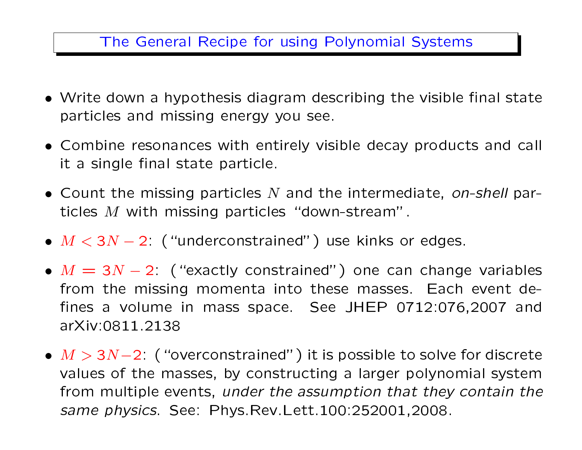### The General Recipe for using Polynomial Systems

- $\bullet$  Write down a hypothesis diagram describing the visible final state particles and missing energy you see.
- Combine resonances with entirely visible decay products and call it a single final state particle.
- Count the missing particles  $N$  and the intermediate, on-shell particles  $M$  with missing particles "down-stream".
- $M < 3N 2$ . ("underconstrained") use kinks or edges.
- $M = 3N 2$  ("exactly constrained") one can change variables from the missing momenta into these masses. Each event de fines a volume in mass space. See JHEP 0712:076,2007 and arXiv:0811.2138
- $M > 3N-2$ : ("overconstrained") it is possible to solve for discrete values of the masses, by constructing a larger polynomial system from multiple events, under the assumption that they contain the same physics. See: Phys.Rev.Lett.100:252001,2008.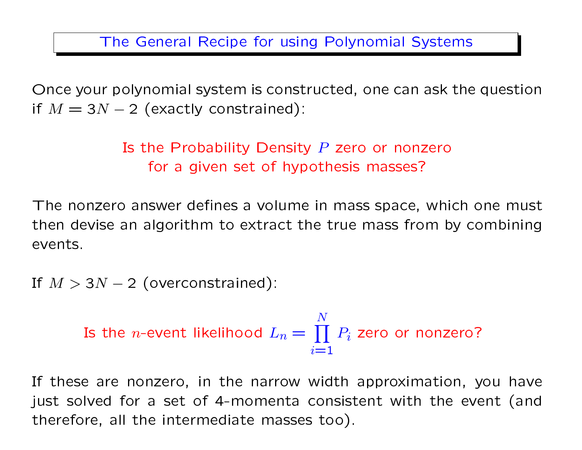Once your polynomial system is constructed, one can ask the question if  $M = 3N - 2$  (exactly constrained):

# Is the Probability Density  $P$  zero or nonzero for a given set of hypothesis masses?

The nonzero answer defines a volume in mass space, which one must then devise an algorithm to extract the true mass from by combining events.

If  $M > 3N - 2$  (overconstrained):

Is the *n*-event likelihood 
$$
L_n = \prod_{i=1}^{N} P_i
$$
 zero or nonzero?

If these are nonzero, in the narrow width approximation, you have just solved for a set of 4-momenta consistent with the event (and therefore, all the intermediate masses too).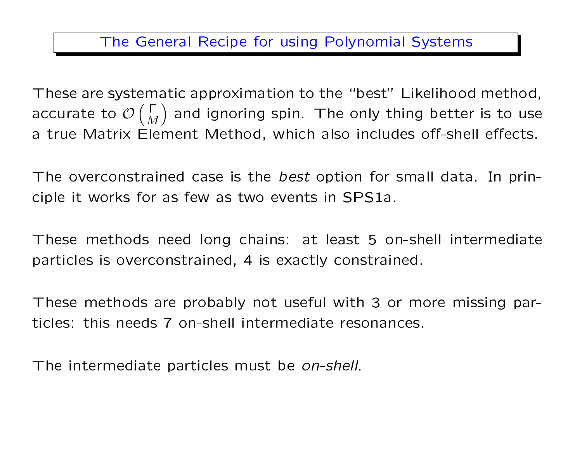These are systematic approximation to the "best" Likelihood method, accurate to  $\mathcal{O}\left(\frac{\Gamma}{M}\right)$  $\overline{M}$  and ignoring spin. The only thing better is to use a true Matrix Element Method, which also includes off-shell effects.

The overconstrained case is the best option for small data. In principle it works for as few as two events in SPS1a.

These methods need long chains: at least 5 on-shell intermediate particles is overconstrained, 4 is exactly constrained.

These methods are probably not useful with 3 or more missing particles: this needs 7 on-shell intermediate resonances.

The intermediate particles must be on-shell.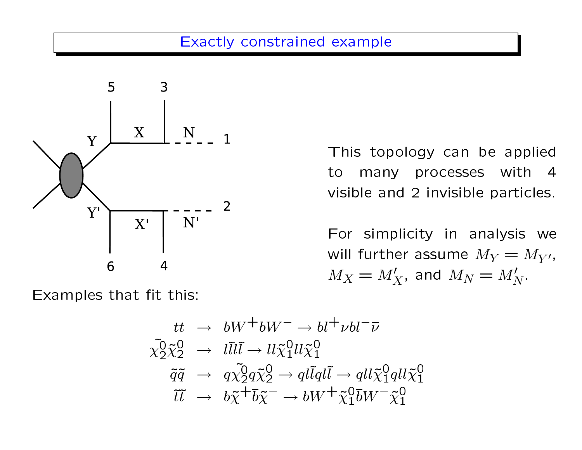### Exactly constrained example



Examples that fit this:

This topology can be applied to many processes with 4 visible and 2 invisible particles.

For simplicity in analysis we will further assume  $M_Y = M_{Y'}$ ,  $M_X = M'_X$ , and  $M_N = M'_N$ .

$$
t\overline{t} \rightarrow bW^{+}bW^{-} \rightarrow bl^{+}\nu bl^{-}\overline{\nu}
$$
  

$$
\tilde{\chi}_{2}^{0}\tilde{\chi}_{2}^{0} \rightarrow l\tilde{l}l\tilde{l} \rightarrow ll\tilde{\chi}_{1}^{0}ll\tilde{\chi}_{1}^{0}
$$
  

$$
\tilde{q}\tilde{q} \rightarrow q\tilde{\chi}_{2}^{0}q\tilde{\chi}_{2}^{0} \rightarrow ql\tilde{l}ql\tilde{l} \rightarrow qll\tilde{\chi}_{1}^{0}qll\tilde{\chi}_{1}^{0}
$$
  

$$
\tilde{t}\overline{t} \rightarrow b\tilde{\chi}^{+}\overline{b}\tilde{\chi}^{-} \rightarrow bW^{+}\tilde{\chi}_{1}^{0}\overline{b}W^{-}\tilde{\chi}_{1}^{0}
$$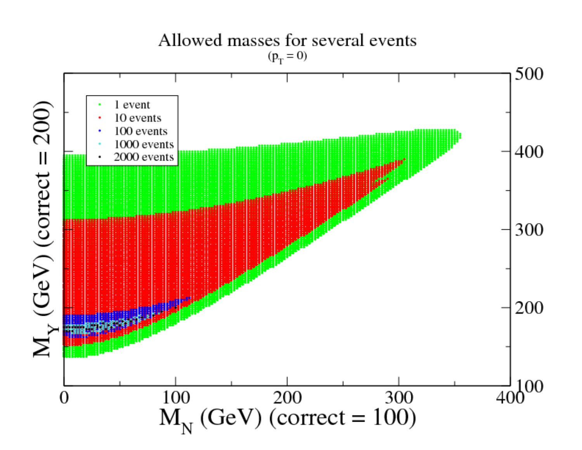

Allowed masses for several events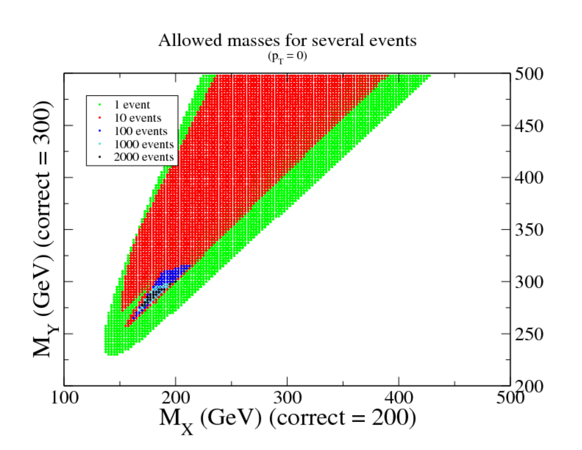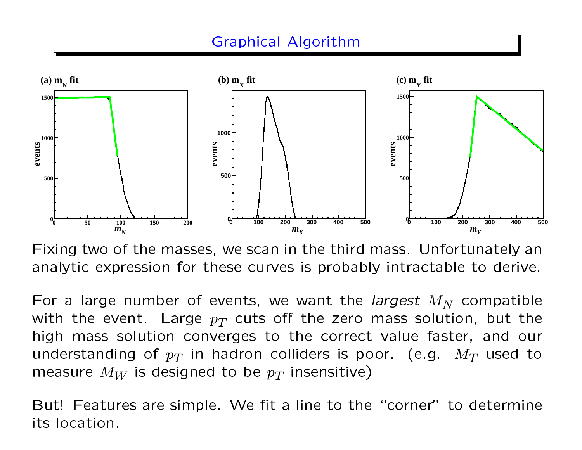

Fixing two of the masses, we scan in the third mass. Unfortunately an analytic expression for these curves is probably intractable to derive.

For a large number of events, we want the *largest*  $M_N$  compatible with the event. Large  $p_T$  cuts off the zero mass solution, but the high mass solution converges to the correct value faster, and our understanding of  $p_T$  in hadron colliders is poor. (e.g.  $M_T$  used to measure  $M_W$  is designed to be  $p_T$  insensitive)

But! Features are simple. We fit a line to the "corner" to determine its location.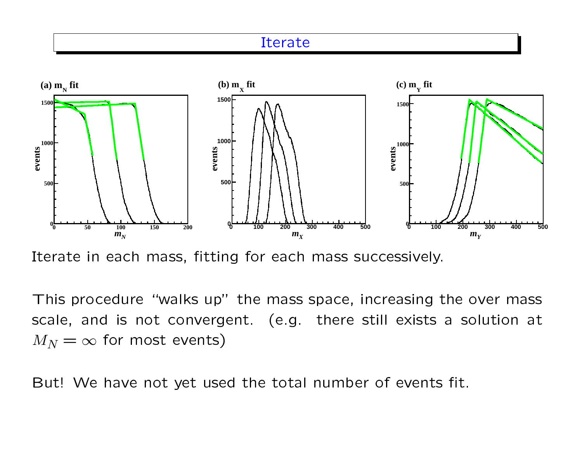#### **Iterate**



Iterate in each mass, fitting for each mass successively.

This procedure "walks up" the mass space, increasing the over mass scale, and is not convergent. (e.g. there still exists a solution at  $M_N = \infty$  for most events)

But! We have not yet used the total number of events fit.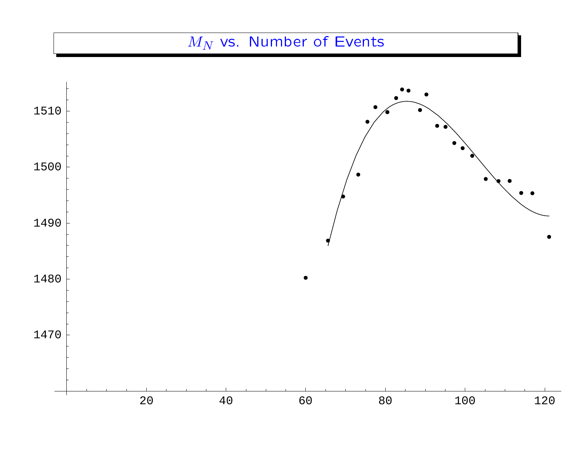# $M_N$  vs. Number of Events

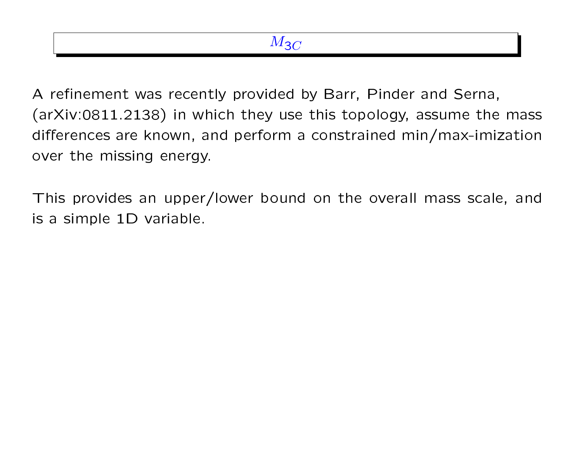A refinement was recently provided by Barr, Pinder and Serna, (arXiv:0811.2138) in which they use this topology, assume the mass differences are known, and perform a constrained min/max-imization over the missing energy.

This provides an upper/lower bound on the overall mass scale, and is a simple 1D variable.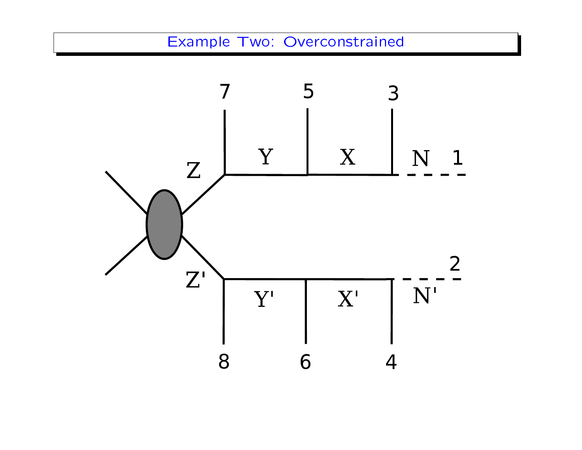Example Two: Overconstrained

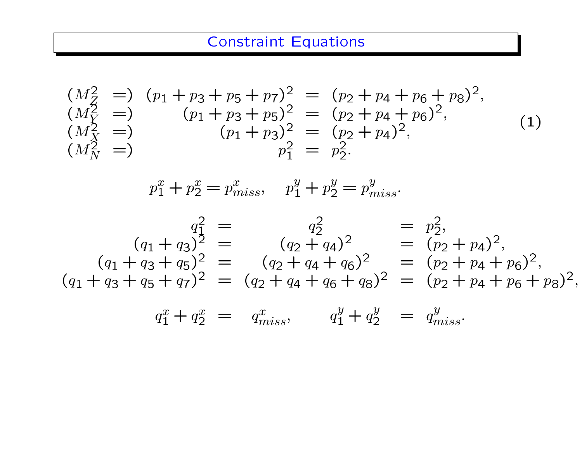$$
(M_Z^2 =) (p_1 + p_3 + p_5 + p_7)^2 = (p_2 + p_4 + p_6 + p_8)^2,
$$
  
\n
$$
(M_Y^2 =) (p_1 + p_3 + p_5)^2 = (p_2 + p_4 + p_6)^2,
$$
  
\n
$$
(M_X^2 =) (p_1 + p_3)^2 = (p_2 + p_4)^2,
$$
  
\n
$$
(M_X^2 =) p_1^2 = p_2^2.
$$
\n(1)

 $p_1^x + p_2^x = p_{miss}^x$ ,  $p_1^y + p_2^y = p_{miss}^y$ .

$$
q_1^2 = q_2^2 = q_2^2,
$$
  
\n
$$
(q_1 + q_3)^2 = (q_2 + q_4)^2 = (p_2 + p_4)^2,
$$
  
\n
$$
(q_1 + q_3 + q_5)^2 = (q_2 + q_4 + q_6)^2 = (p_2 + p_4 + p_6)^2,
$$
  
\n
$$
(q_1 + q_3 + q_5 + q_7)^2 = (q_2 + q_4 + q_6 + q_8)^2 = (p_2 + p_4 + p_6 + p_8)^2,
$$
  
\n
$$
q_1^x + q_2^x = q_{miss}^x, \qquad q_1^y + q_2^y = q_{miss}^y.
$$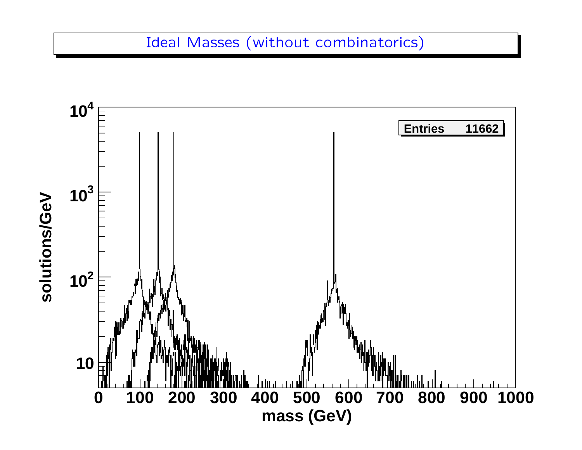### Ideal Masses (without combinatorics)

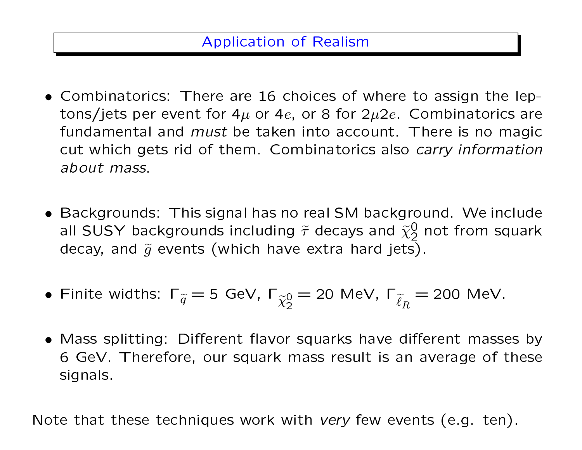- Combinatorics: There are 16 choices of where to assign the leptons/jets per event for 4 $\mu$  or 4e, or 8 for 2 $\mu$ 2e. Combinatorics are fundamental and *must* be taken into account. There is no magic cut which gets rid of them. Combinatorics also carry information about mass.
- Backgrounds: This signal has no real SM background. We include all SUSY backgrounds including  $\tilde{\tau}$  decays and  $\tilde{\chi}_2^0$  $^{0}_{2}$  not from squark decay, and  $\tilde{g}$  events (which have extra hard jets).

• Finite widths: 
$$
\Gamma_{\widetilde{q}} = 5
$$
 GeV,  $\Gamma_{\widetilde{\chi}_{2}^{0}} = 20$  MeV,  $\Gamma_{\widetilde{\ell}_{R}} = 200$  MeV.

• Mass splitting: Different flavor squarks have different masses by 6 GeV. Therefore, our squark mass result is an average of these signals.

Note that these techniques work with very few events (e.g. ten).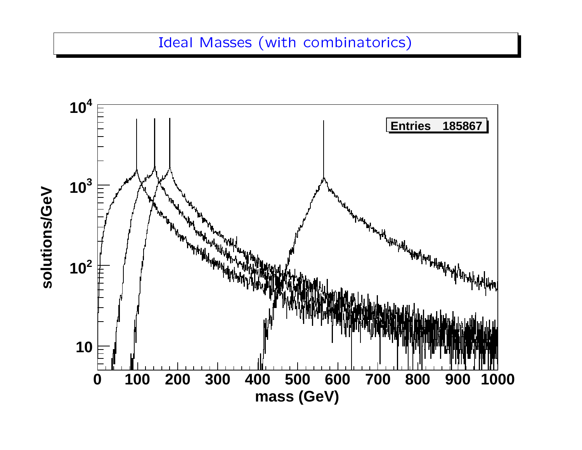### Ideal Masses (with combinatorics)

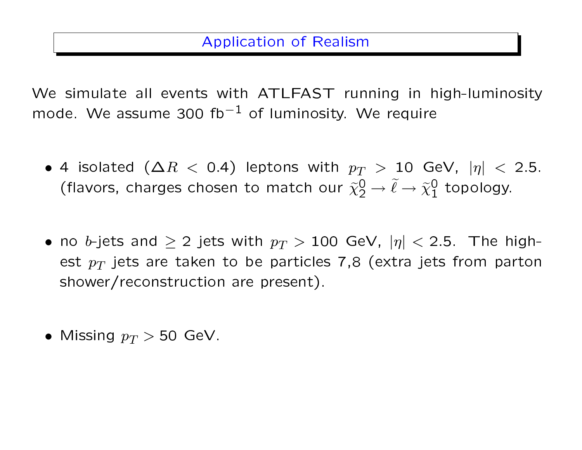We simulate all events with ATLFAST running in high-luminosity mode. We assume 300 fb $^{-1}$  of luminosity. We require

- 4 isolated ( $\Delta R$  < 0.4) leptons with  $p_T > 10$  GeV,  $|\eta|$  < 2.5. (flavors, charges chosen to match our  $\tilde{\chi}^0_2 \rightarrow \tilde{\ell} \rightarrow \tilde{\chi}^0_1$  $\frac{0}{1}$  topology.
- no b-jets and  $\geq 2$  jets with  $p_T > 100$  GeV,  $|\eta| < 2.5$ . The highest  $p_T$  jets are taken to be particles 7,8 (extra jets from parton shower/reconstruction are present).
- Missing  $p_T > 50$  GeV.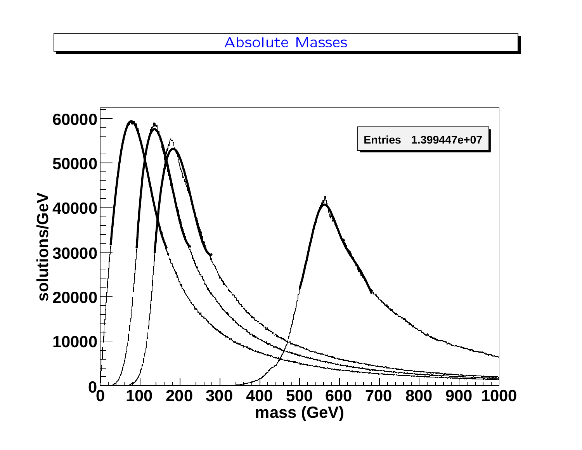#### Absolute Masses

![](_page_19_Figure_1.jpeg)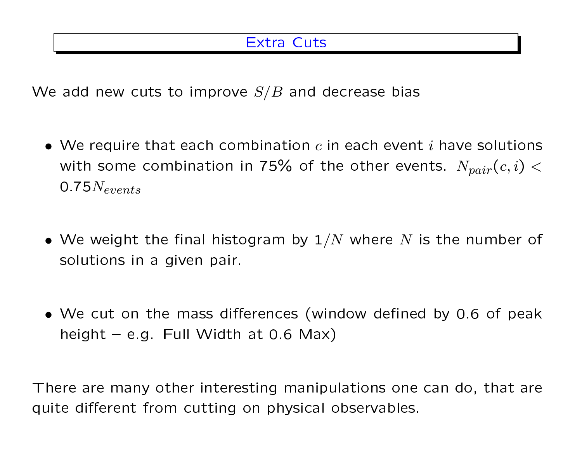We add new cuts to improve  $S/B$  and decrease bias

- We require that each combination  $c$  in each event  $i$  have solutions with some combination in 75% of the other events.  $N_{pair}(c, i) <$  $0.75N_{events}$
- We weight the final histogram by  $1/N$  where N is the number of solutions in a given pair.
- $\bullet$  We cut on the mass differences (window defined by 0.6 of peak height  $-$  e.g. Full Width at 0.6 Max)

There are many other interesting manipulations one can do, that are quite different from cutting on physical observables.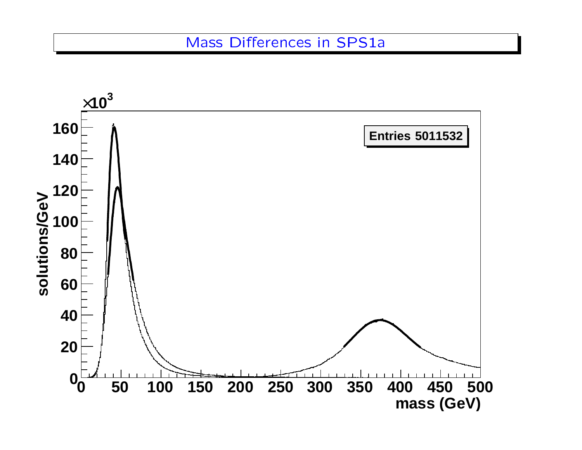#### Mass Differences in SPS1a

![](_page_21_Figure_1.jpeg)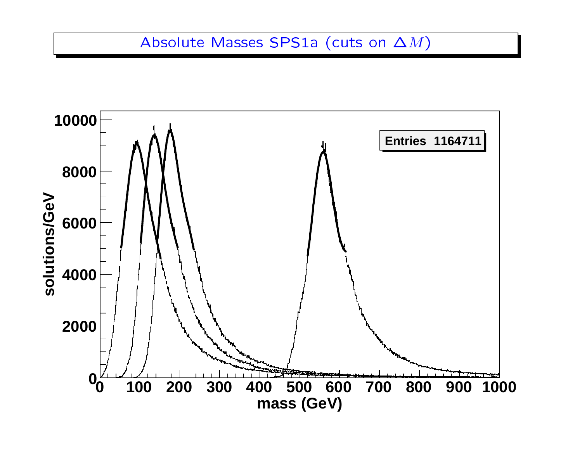#### Absolute Masses SPS1a (cuts on  $\Delta M$ )

![](_page_22_Figure_1.jpeg)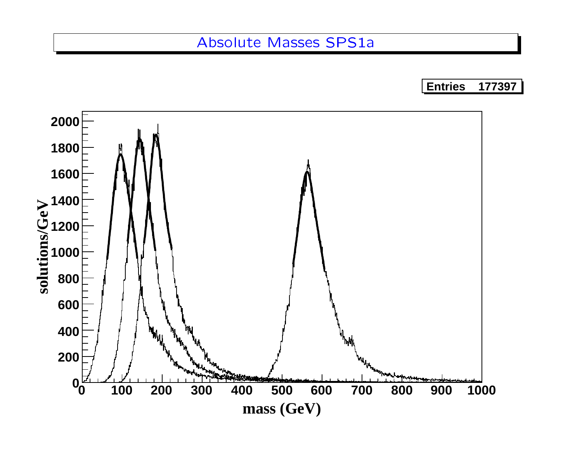#### Absolute Masses SPS1a

**Entries 177397**

![](_page_23_Figure_2.jpeg)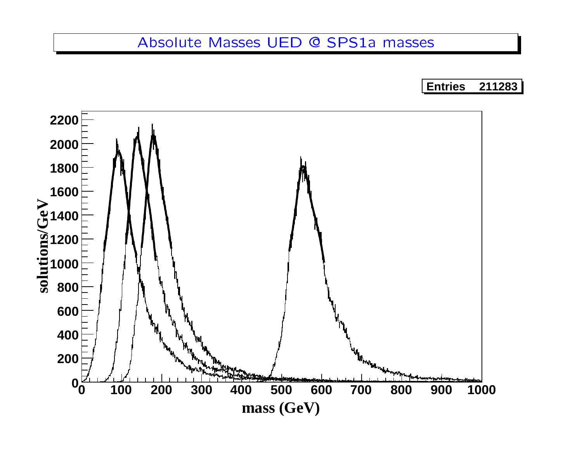#### Absolute Masses UED @ SPS1a masses

**Entries 211283**

![](_page_24_Figure_2.jpeg)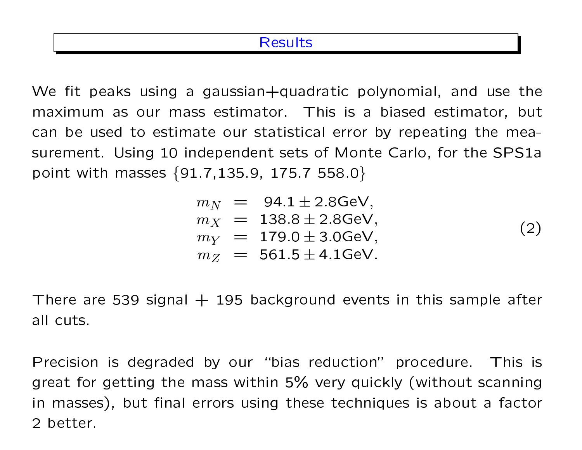#### **Results**

We fit peaks using a gaussian+quadratic polynomial, and use the maximum as our mass estimator. This is a biased estimator, but can be used to estimate our statistical error by repeating the measurement. Using 10 independent sets of Monte Carlo, for the SPS1a point with masses  $\{91.7, 135.9, 175.7 558.0\}$ 

$$
m_N = 94.1 \pm 2.8 \text{GeV},
$$
  
\n
$$
m_X = 138.8 \pm 2.8 \text{GeV},
$$
  
\n
$$
m_Y = 179.0 \pm 3.0 \text{GeV},
$$
  
\n
$$
m_Z = 561.5 \pm 4.1 \text{GeV}.
$$
\n(2)

There are 539 signal  $+$  195 background events in this sample after all cuts.

Precision is degraded by our "bias reduction" procedure. This is great for getting the mass within 5% very quickly (without scanning in masses), but final errors using these techniques is about a factor 2 better.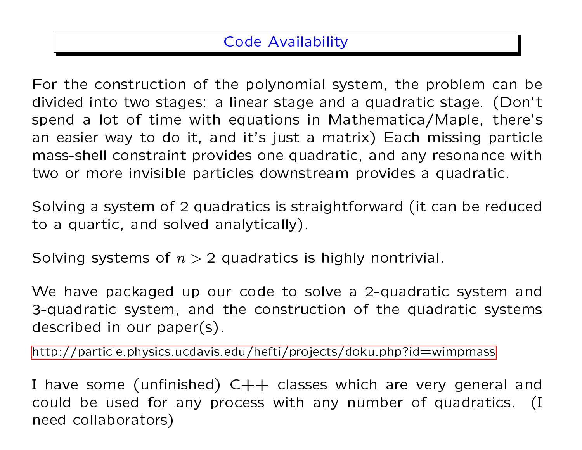### Code Availability

For the construction of the polynomial system, the problem can be divided into two stages: a linear stage and a quadratic stage. (Don't spend a lot of time with equations in Mathematica/Maple, there's an easier way to do it, and it's just a matrix) Each missing particle mass-shell constraint provides one quadratic, and any resonance with two or more invisible particles downstream provides a quadratic.

Solving a system of 2 quadratics is straightforward (it can be reduced to a quartic, and solved analytically).

Solving systems of  $n > 2$  quadratics is highly nontrivial.

We have packaged up our code to solve a 2-quadratic system and 3-quadratic system, and the construction of the quadratic systems described in our paper(s).

[http://particle.physics.ucdavis.edu/hefti/projects/doku.php?id=wimpmass](#page-0-0)

I have some (unfinished)  $C++$  classes which are very general and could be used for any process with any number of quadratics. (I need collaborators)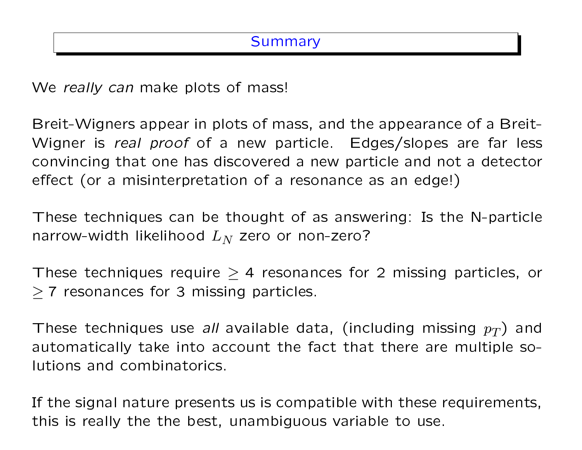We really can make plots of mass!

Breit-Wigners appear in plots of mass, and the appearance of a Breit-Wigner is real proof of a new particle. Edges/slopes are far less convincing that one has discovered a new particle and not a detector effect (or a misinterpretation of a resonance as an edge!)

These techniques can be thought of as answering: Is the N-particle narrow-width likelihood  $L_N$  zero or non-zero?

These techniques require  $\geq$  4 resonances for 2 missing particles, or ≥ 7 resonances for 3 missing particles.

These techniques use all available data, (including missing  $p_T$ ) and automatically take into account the fact that there are multiple solutions and combinatorics.

If the signal nature presents us is compatible with these requirements, this is really the the best, unambiguous variable to use.